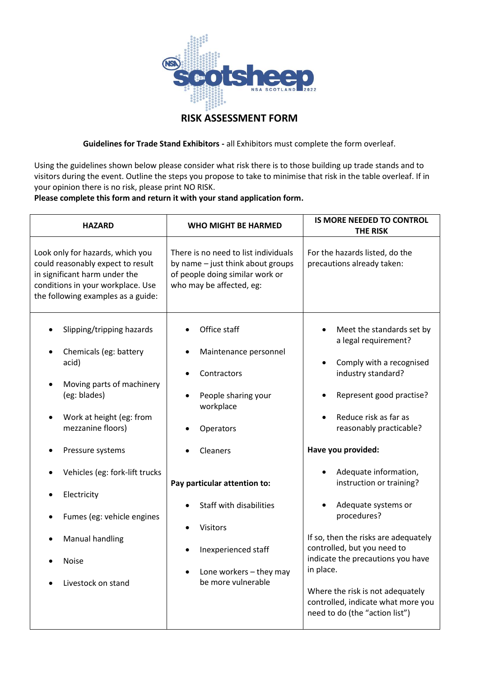

## **RISK ASSESSMENT FORM**

**Guidelines for Trade Stand Exhibitors -** all Exhibitors must complete the form overleaf.

Using the guidelines shown below please consider what risk there is to those building up trade stands and to visitors during the event. Outline the steps you propose to take to minimise that risk in the table overleaf. If in your opinion there is no risk, please print NO RISK.

## **Please complete this form and return it with your stand application form.**

| <b>HAZARD</b>                                                                                                                                                                                                                                                                                                          | <b>WHO MIGHT BE HARMED</b>                                                                                                                                                                                                                                                     | <b>IS MORE NEEDED TO CONTROL</b><br><b>THE RISK</b>                                                                                                                                                                                                                                                                                                                                                                                                                                                                               |
|------------------------------------------------------------------------------------------------------------------------------------------------------------------------------------------------------------------------------------------------------------------------------------------------------------------------|--------------------------------------------------------------------------------------------------------------------------------------------------------------------------------------------------------------------------------------------------------------------------------|-----------------------------------------------------------------------------------------------------------------------------------------------------------------------------------------------------------------------------------------------------------------------------------------------------------------------------------------------------------------------------------------------------------------------------------------------------------------------------------------------------------------------------------|
| Look only for hazards, which you<br>could reasonably expect to result<br>in significant harm under the<br>conditions in your workplace. Use<br>the following examples as a guide:                                                                                                                                      | There is no need to list individuals<br>by name - just think about groups<br>of people doing similar work or<br>who may be affected, eg:                                                                                                                                       | For the hazards listed, do the<br>precautions already taken:                                                                                                                                                                                                                                                                                                                                                                                                                                                                      |
| Slipping/tripping hazards<br>Chemicals (eg: battery<br>acid)<br>Moving parts of machinery<br>(eg: blades)<br>Work at height (eg: from<br>mezzanine floors)<br>Pressure systems<br>Vehicles (eg: fork-lift trucks<br>Electricity<br>Fumes (eg: vehicle engines<br>Manual handling<br><b>Noise</b><br>Livestock on stand | Office staff<br>Maintenance personnel<br>Contractors<br>People sharing your<br>workplace<br>Operators<br>Cleaners<br>Pay particular attention to:<br><b>Staff with disabilities</b><br><b>Visitors</b><br>Inexperienced staff<br>Lone workers - they may<br>be more vulnerable | Meet the standards set by<br>$\bullet$<br>a legal requirement?<br>Comply with a recognised<br>$\bullet$<br>industry standard?<br>Represent good practise?<br>Reduce risk as far as<br>reasonably practicable?<br>Have you provided:<br>Adequate information,<br>instruction or training?<br>Adequate systems or<br>procedures?<br>If so, then the risks are adequately<br>controlled, but you need to<br>indicate the precautions you have<br>in place.<br>Where the risk is not adequately<br>controlled, indicate what more you |
|                                                                                                                                                                                                                                                                                                                        |                                                                                                                                                                                                                                                                                | need to do (the "action list")                                                                                                                                                                                                                                                                                                                                                                                                                                                                                                    |